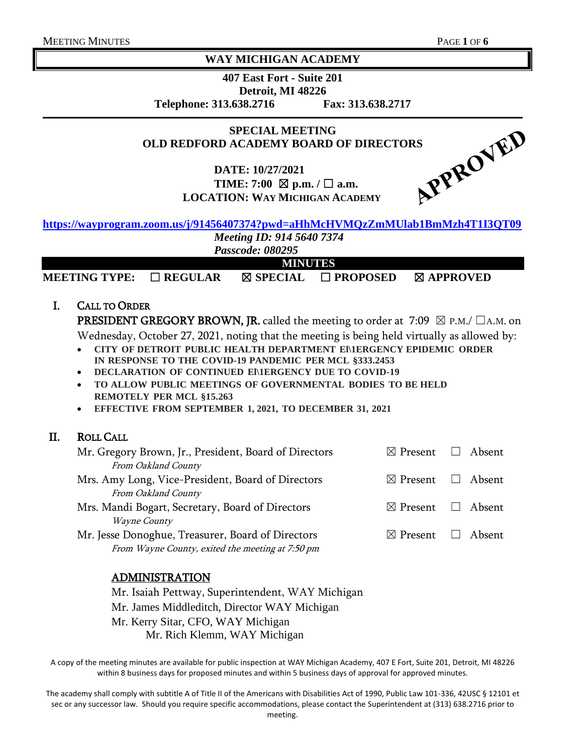#### **WAY MICHIGAN ACADEMY**

**407 East Fort - Suite 201 Detroit, MI 48226 Telephone: 313.638.2716 Fax: 313.638.2717**

**SPECIAL MEETING**

**DATE: 10/27/2021 TIME:** 7:00  $\boxtimes$  p.m.  $\angle$   $\square$  a.m. **LOCATION: WAY MICHIGAN ACADEMY**



# **<https://wayprogram.zoom.us/j/91456407374?pwd=aHhMcHVMQzZmMUlab1BmMzh4T1I3QT09>**

*Meeting ID: 914 5640 7374*

*Passcode: 080295* **MINUTES**

**MEETING TYPE:** ☐ **REGULAR** ☒ **SPECIAL** ☐ **PROPOSED** ☒ **APPROVED**

#### I. CALL TO ORDER

**PRESIDENT GREGORY BROWN, JR.** called the meeting to order at 7:09  $\boxtimes$  P.M./  $\Box$ A.M. on Wednesday, October 27, 2021, noting that the meeting is being held virtually as allowed by:

- **CITY OF DETROIT PUBLIC HEALTH DEPARTMENT El\1ERGENCY EPIDEMIC ORDER IN RESPONSE TO THE COVID-19 PANDEMIC PER MCL §333.2453**
- **DECLARATION OF CONTINUED El\1ERGENCY DUE TO COVID-19**
- **TO ALLOW PUBLIC MEETINGS OF GOVERNMENTAL BODIES TO BE HELD REMOTELY PER MCL §15.263**
- **EFFECTIVE FROM SEPTEMBER 1, 2021, TO DECEMBER 31, 2021**

#### II. ROLL CALL

| $\boxtimes$ Present $\Box$ Absent |  |
|-----------------------------------|--|
|                                   |  |
| $\boxtimes$ Present $\Box$ Absent |  |
|                                   |  |
| $\boxtimes$ Present $\Box$ Absent |  |
|                                   |  |
| $\boxtimes$ Present $\Box$ Absent |  |
|                                   |  |
|                                   |  |

#### ADMINISTRATION

Mr. Isaiah Pettway, Superintendent, WAY Michigan

Mr. James Middleditch, Director WAY Michigan

Mr. Kerry Sitar, CFO, WAY Michigan

Mr. Rich Klemm, WAY Michigan

A copy of the meeting minutes are available for public inspection at WAY Michigan Academy, 407 E Fort, Suite 201, Detroit, MI 48226 within 8 business days for proposed minutes and within 5 business days of approval for approved minutes.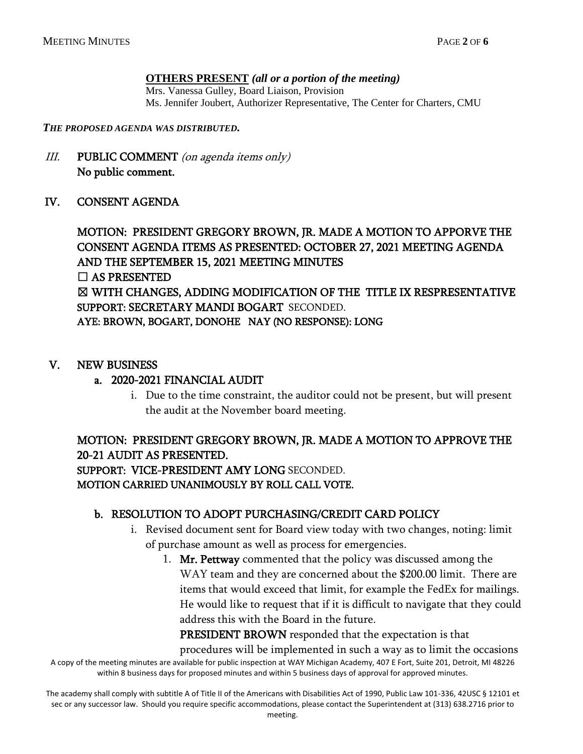#### **OTHERS PRESENT** *(all or a portion of the meeting)*

Mrs. Vanessa Gulley, Board Liaison, Provision Ms. Jennifer Joubert, Authorizer Representative, The Center for Charters, CMU

*THE PROPOSED AGENDA WAS DISTRIBUTED.*

III. PUBLIC COMMENT (on agenda items only) No public comment.

#### IV. CONSENT AGENDA

MOTION: PRESIDENT GREGORY BROWN, JR. MADE A MOTION TO APPORVE THE CONSENT AGENDA ITEMS AS PRESENTED: OCTOBER 27, 2021 MEETING AGENDA AND THE SEPTEMBER 15, 2021 MEETING MINUTES  $\Box$  AS PRESENTED ☒ WITH CHANGES, ADDING MODIFICATION OF THE TITLE IX RESPRESENTATIVE SUPPORT: SECRETARY MANDI BOGART SECONDED. AYE: BROWN, BOGART, DONOHE NAY (NO RESPONSE): LONG

#### V. NEW BUSINESS

#### a. 2020-2021 FINANCIAL AUDIT

i. Due to the time constraint, the auditor could not be present, but will present the audit at the November board meeting.

## MOTION: PRESIDENT GREGORY BROWN, JR. MADE A MOTION TO APPROVE THE 20-21 AUDIT AS PRESENTED. SUPPORT: VICE-PRESIDENT AMY LONG SECONDED. MOTION CARRIED UNANIMOUSLY BY ROLL CALL VOTE.

#### b. RESOLUTION TO ADOPT PURCHASING/CREDIT CARD POLICY

- i. Revised document sent for Board view today with two changes, noting: limit of purchase amount as well as process for emergencies.
	- 1. Mr. Pettway commented that the policy was discussed among the WAY team and they are concerned about the \$200.00 limit. There are items that would exceed that limit, for example the FedEx for mailings. He would like to request that if it is difficult to navigate that they could address this with the Board in the future.

PRESIDENT BROWN responded that the expectation is that

A copy of the meeting minutes are available for public inspection at WAY Michigan Academy, 407 E Fort, Suite 201, Detroit, MI 48226 within 8 business days for proposed minutes and within 5 business days of approval for approved minutes. procedures will be implemented in such a way as to limit the occasions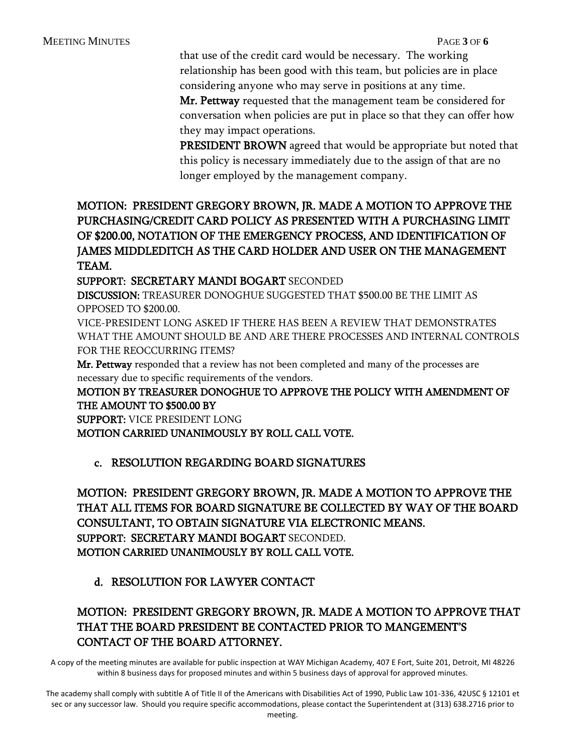that use of the credit card would be necessary. The working relationship has been good with this team, but policies are in place considering anyone who may serve in positions at any time.

Mr. Pettway requested that the management team be considered for conversation when policies are put in place so that they can offer how they may impact operations.

PRESIDENT BROWN agreed that would be appropriate but noted that this policy is necessary immediately due to the assign of that are no longer employed by the management company.

# MOTION: PRESIDENT GREGORY BROWN, JR. MADE A MOTION TO APPROVE THE PURCHASING/CREDIT CARD POLICY AS PRESENTED WITH A PURCHASING LIMIT OF \$200.00, NOTATION OF THE EMERGENCY PROCESS, AND IDENTIFICATION OF JAMES MIDDLEDITCH AS THE CARD HOLDER AND USER ON THE MANAGEMENT TEAM.

SUPPORT: SECRETARY MANDI BOGART SECONDED

DISCUSSION: TREASURER DONOGHUE SUGGESTED THAT \$500.00 BE THE LIMIT AS OPPOSED TO \$200.00.

VICE-PRESIDENT LONG ASKED IF THERE HAS BEEN A REVIEW THAT DEMONSTRATES WHAT THE AMOUNT SHOULD BE AND ARE THERE PROCESSES AND INTERNAL CONTROLS FOR THE REOCCURRING ITEMS?

Mr. Pettway responded that a review has not been completed and many of the processes are necessary due to specific requirements of the vendors.

#### MOTION BY TREASURER DONOGHUE TO APPROVE THE POLICY WITH AMENDMENT OF THE AMOUNT TO \$500.00 BY

SUPPORT: VICE PRESIDENT LONG

MOTION CARRIED UNANIMOUSLY BY ROLL CALL VOTE.

#### c. RESOLUTION REGARDING BOARD SIGNATURES

MOTION: PRESIDENT GREGORY BROWN, JR. MADE A MOTION TO APPROVE THE THAT ALL ITEMS FOR BOARD SIGNATURE BE COLLECTED BY WAY OF THE BOARD CONSULTANT, TO OBTAIN SIGNATURE VIA ELECTRONIC MEANS. SUPPORT: SECRETARY MANDI BOGART SECONDED. MOTION CARRIED UNANIMOUSLY BY ROLL CALL VOTE.

# d. RESOLUTION FOR LAWYER CONTACT

# MOTION: PRESIDENT GREGORY BROWN, JR. MADE A MOTION TO APPROVE THAT THAT THE BOARD PRESIDENT BE CONTACTED PRIOR TO MANGEMENT'S CONTACT OF THE BOARD ATTORNEY.

A copy of the meeting minutes are available for public inspection at WAY Michigan Academy, 407 E Fort, Suite 201, Detroit, MI 48226 within 8 business days for proposed minutes and within 5 business days of approval for approved minutes.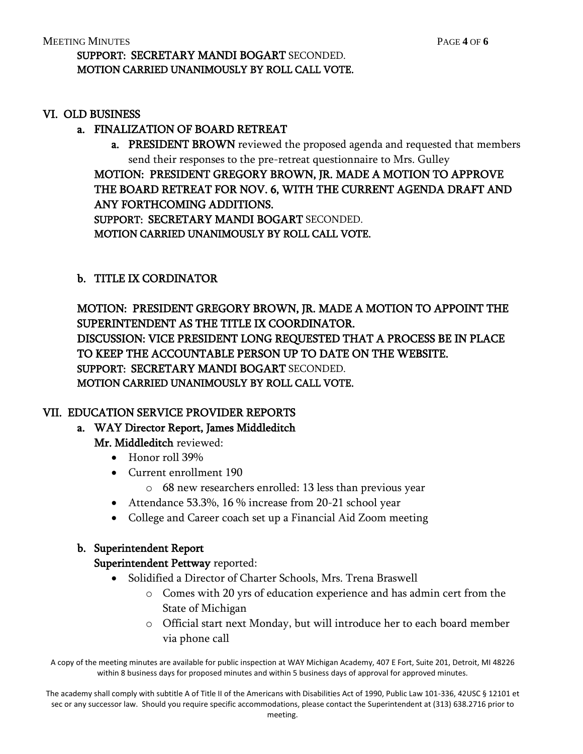#### VI. OLD BUSINESS

#### a. FINALIZATION OF BOARD RETREAT

a. PRESIDENT BROWN reviewed the proposed agenda and requested that members send their responses to the pre-retreat questionnaire to Mrs. Gulley

MOTION: PRESIDENT GREGORY BROWN, JR. MADE A MOTION TO APPROVE THE BOARD RETREAT FOR NOV. 6, WITH THE CURRENT AGENDA DRAFT AND ANY FORTHCOMING ADDITIONS. SUPPORT: SECRETARY MANDI BOGART SECONDED. MOTION CARRIED UNANIMOUSLY BY ROLL CALL VOTE.

## b. TITLE IX CORDINATOR

MOTION: PRESIDENT GREGORY BROWN, JR. MADE A MOTION TO APPOINT THE SUPERINTENDENT AS THE TITLE IX COORDINATOR. DISCUSSION: VICE PRESIDENT LONG REQUESTED THAT A PROCESS BE IN PLACE TO KEEP THE ACCOUNTABLE PERSON UP TO DATE ON THE WEBSITE. SUPPORT: SECRETARY MANDI BOGART SECONDED. MOTION CARRIED UNANIMOUSLY BY ROLL CALL VOTE.

# VII. EDUCATION SERVICE PROVIDER REPORTS

# a. WAY Director Report, James Middleditch

Mr. Middleditch reviewed:

- Honor roll 39%
- Current enrollment 190
	- o 68 new researchers enrolled: 13 less than previous year
- Attendance 53.3%, 16 % increase from 20-21 school year
- College and Career coach set up a Financial Aid Zoom meeting

#### b. Superintendent Report

#### Superintendent Pettway reported:

- Solidified a Director of Charter Schools, Mrs. Trena Braswell
	- o Comes with 20 yrs of education experience and has admin cert from the State of Michigan
	- o Official start next Monday, but will introduce her to each board member via phone call

A copy of the meeting minutes are available for public inspection at WAY Michigan Academy, 407 E Fort, Suite 201, Detroit, MI 48226 within 8 business days for proposed minutes and within 5 business days of approval for approved minutes.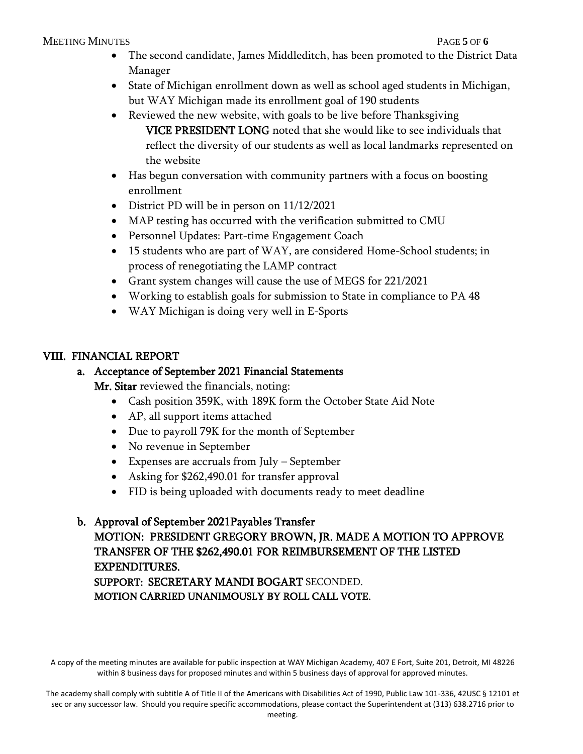#### MEETING MINUTES PAGE **5** OF **6**

- The second candidate, James Middleditch, has been promoted to the District Data Manager
- State of Michigan enrollment down as well as school aged students in Michigan, but WAY Michigan made its enrollment goal of 190 students
- Reviewed the new website, with goals to be live before Thanksgiving VICE PRESIDENT LONG noted that she would like to see individuals that reflect the diversity of our students as well as local landmarks represented on the website
- Has begun conversation with community partners with a focus on boosting enrollment
- District PD will be in person on 11/12/2021
- MAP testing has occurred with the verification submitted to CMU
- Personnel Updates: Part-time Engagement Coach
- 15 students who are part of WAY, are considered Home-School students; in process of renegotiating the LAMP contract
- Grant system changes will cause the use of MEGS for 221/2021
- Working to establish goals for submission to State in compliance to PA 48
- WAY Michigan is doing very well in E-Sports

## VIII. FINANCIAL REPORT

## a. Acceptance of September 2021 Financial Statements

Mr. Sitar reviewed the financials, noting:

- Cash position 359K, with 189K form the October State Aid Note
- AP, all support items attached
- Due to payroll 79K for the month of September
- No revenue in September
- Expenses are accruals from July September
- Asking for \$262,490.01 for transfer approval
- FID is being uploaded with documents ready to meet deadline

# b. Approval of September 2021Payables Transfer MOTION: PRESIDENT GREGORY BROWN, JR. MADE A MOTION TO APPROVE TRANSFER OF THE \$262,490.01 FOR REIMBURSEMENT OF THE LISTED EXPENDITURES. SUPPORT: SECRETARY MANDI BOGART SECONDED. MOTION CARRIED UNANIMOUSLY BY ROLL CALL VOTE.

A copy of the meeting minutes are available for public inspection at WAY Michigan Academy, 407 E Fort, Suite 201, Detroit, MI 48226 within 8 business days for proposed minutes and within 5 business days of approval for approved minutes.